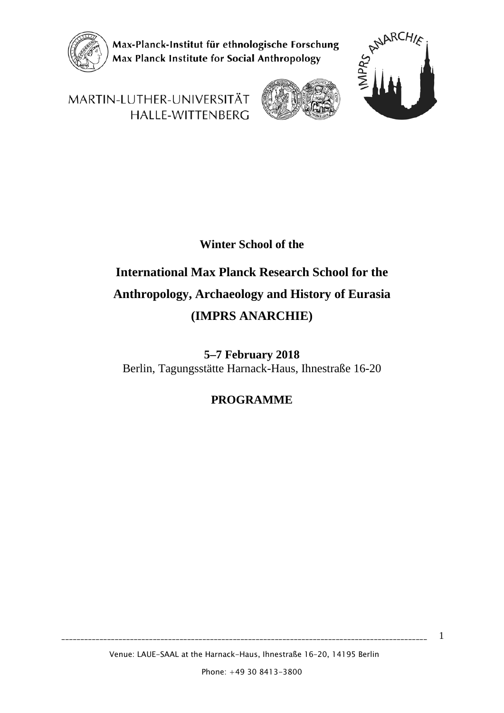

Max-Planck-Institut für ethnologische Forschung Max Planck Institute for Social Anthropology



1

MARTIN-LUTHER-UNIVERSITÄT HALLE-WITTENBERG



#### **Winter School of the**

# **International Max Planck Research School for the Anthropology, Archaeology and History of Eurasia (IMPRS ANARCHIE)**

**5–7 February 2018** Berlin, Tagungsstätte Harnack-Haus, Ihnestraße 16-20

#### **PROGRAMME**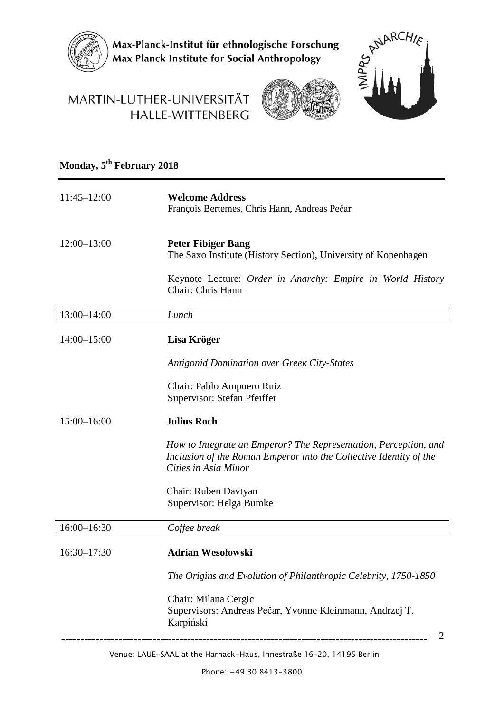

Max-Planck-Institut für ethnologische Forschung<br>Max Planck Institute for Social Anthropology



### MARTIN-LUTHER-UNIVERSITÄT HALLE-WITTENBERG



# **Monday, 5th February 2018**

| $11:45 - 12:00$ | <b>Welcome Address</b><br>François Bertemes, Chris Hann, Andreas Pečar                                                                                         |
|-----------------|----------------------------------------------------------------------------------------------------------------------------------------------------------------|
| $12:00 - 13:00$ | <b>Peter Fibiger Bang</b><br>The Saxo Institute (History Section), University of Kopenhagen                                                                    |
|                 | Keynote Lecture: Order in Anarchy: Empire in World History<br>Chair: Chris Hann                                                                                |
| 13:00-14:00     | Lunch                                                                                                                                                          |
| $14:00 - 15:00$ | Lisa Kröger                                                                                                                                                    |
|                 | <b>Antigonid Domination over Greek City-States</b>                                                                                                             |
|                 | Chair: Pablo Ampuero Ruiz<br>Supervisor: Stefan Pfeiffer                                                                                                       |
| $15:00 - 16:00$ | <b>Julius Roch</b>                                                                                                                                             |
|                 | How to Integrate an Emperor? The Representation, Perception, and<br>Inclusion of the Roman Emperor into the Collective Identity of the<br>Cities in Asia Minor |
|                 | Chair: Ruben Davtyan<br>Supervisor: Helga Bumke                                                                                                                |
| 16:00-16:30     | Coffee break                                                                                                                                                   |
| $16:30 - 17:30$ | <b>Adrian Wesolowski</b>                                                                                                                                       |
|                 | The Origins and Evolution of Philanthropic Celebrity, 1750-1850                                                                                                |
|                 | Chair: Milana Cergic<br>Supervisors: Andreas Pečar, Yvonne Kleinmann, Andrzej T.<br>Karpiński<br>2                                                             |
|                 |                                                                                                                                                                |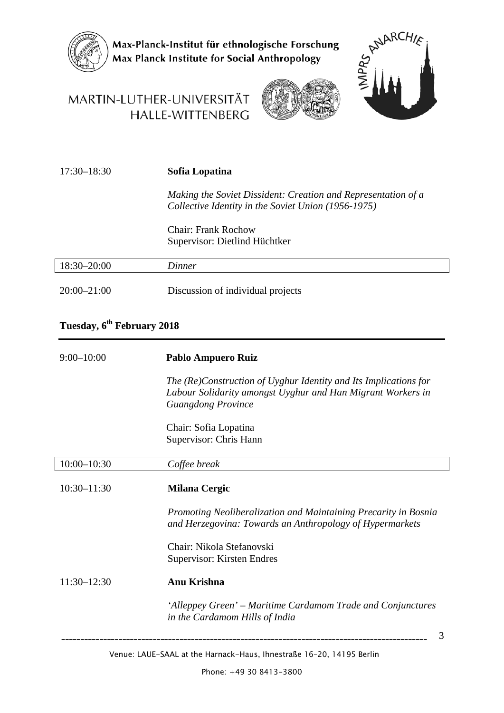

Max-Planck-Institut für ethnologische Forschung<br>Max Planck Institute for Social Anthropology

### MARTIN-LUTHER-UNIVERSITÄT HALLE-WITTENBERG





| $17:30 - 18:30$ | Sofia Lopatina                                                                                                       |  |  |
|-----------------|----------------------------------------------------------------------------------------------------------------------|--|--|
|                 | Making the Soviet Dissident: Creation and Representation of a<br>Collective Identity in the Soviet Union (1956-1975) |  |  |
|                 | Chair: Frank Rochow<br>Supervisor: Dietlind Hüchtker                                                                 |  |  |
| $18:30 - 20:00$ | Dinner                                                                                                               |  |  |
| $20:00 - 21:00$ | Discussion of individual projects                                                                                    |  |  |

### **Tuesday, 6th February 2018**

| $9:00 - 10:00$  | Pablo Ampuero Ruiz                                                                                                                                           |
|-----------------|--------------------------------------------------------------------------------------------------------------------------------------------------------------|
|                 | The (Re)Construction of Uyghur Identity and Its Implications for<br>Labour Solidarity amongst Uyghur and Han Migrant Workers in<br><b>Guangdong Province</b> |
|                 | Chair: Sofia Lopatina<br>Supervisor: Chris Hann                                                                                                              |
| $10:00 - 10:30$ | Coffee break                                                                                                                                                 |
| $10:30 - 11:30$ | <b>Milana Cergic</b>                                                                                                                                         |
|                 | Promoting Neoliberalization and Maintaining Precarity in Bosnia<br>and Herzegovina: Towards an Anthropology of Hypermarkets                                  |
|                 | Chair: Nikola Stefanovski<br>Supervisor: Kirsten Endres                                                                                                      |
| $11:30 - 12:30$ | Anu Krishna                                                                                                                                                  |
|                 | 'Alleppey Green' – Maritime Cardamom Trade and Conjunctures<br>in the Cardamom Hills of India                                                                |
|                 | 3                                                                                                                                                            |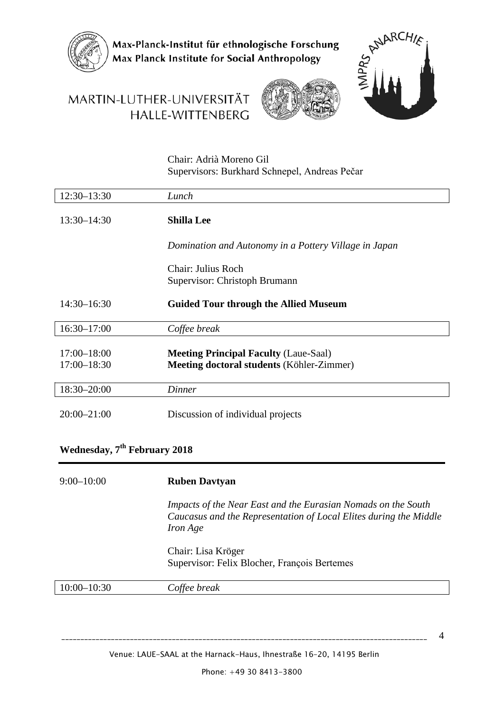

Max-Planck-Institut für ethnologische Forschung Max Planck Institute for Social Anthropology

# MARTIN-LUTHER-UNIVERSITÄT HALLE-WITTENBERG





Chair: Adrià Moreno Gil Supervisors: Burkhard Schnepel, Andreas Pečar

| 12:30-13:30                        | Lunch                                                                                            |
|------------------------------------|--------------------------------------------------------------------------------------------------|
| $13:30 - 14:30$                    | <b>Shilla Lee</b>                                                                                |
|                                    | Domination and Autonomy in a Pottery Village in Japan                                            |
|                                    | Chair: Julius Roch                                                                               |
|                                    | Supervisor: Christoph Brumann                                                                    |
| $14:30 - 16:30$                    | <b>Guided Tour through the Allied Museum</b>                                                     |
| $16:30 - 17:00$                    | Coffee break                                                                                     |
| $17:00 - 18:00$<br>$17:00 - 18:30$ | <b>Meeting Principal Faculty (Laue-Saal)</b><br><b>Meeting doctoral students (Köhler-Zimmer)</b> |
| 18:30-20:00                        | Dinner                                                                                           |
| $20:00 - 21:00$                    | Discussion of individual projects                                                                |

#### **Wednesday, 7th February 2018**

| $9:00-10:00$    | <b>Ruben Davtyan</b>                                                                                                                                  |
|-----------------|-------------------------------------------------------------------------------------------------------------------------------------------------------|
|                 | Impacts of the Near East and the Eurasian Nomads on the South<br>Caucasus and the Representation of Local Elites during the Middle<br><i>Iron Age</i> |
|                 | Chair: Lisa Kröger<br>Supervisor: Felix Blocher, François Bertemes                                                                                    |
| $10:00 - 10:30$ | Coffee break                                                                                                                                          |

4